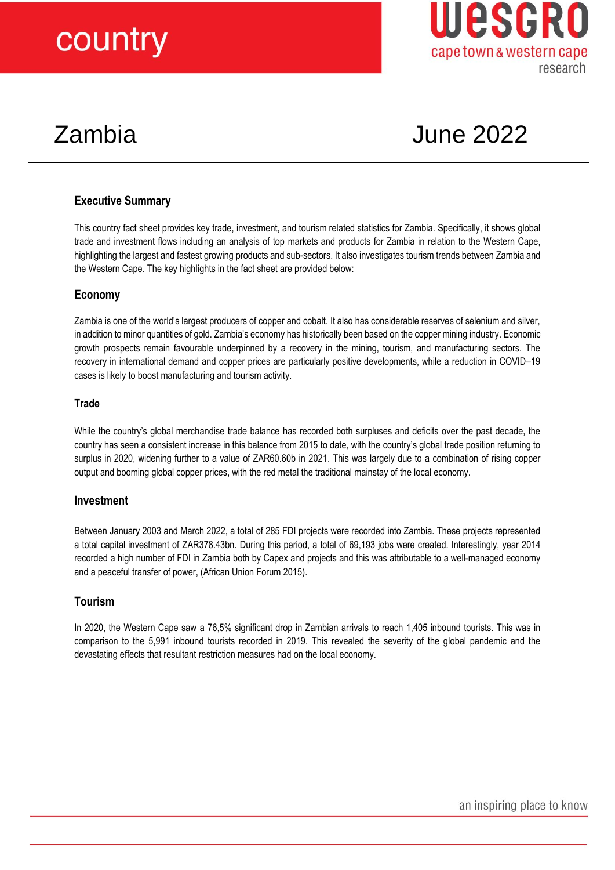# country



## Zambia June 2022

#### **Executive Summary**

This country fact sheet provides key trade, investment, and tourism related statistics for Zambia. Specifically, it shows global trade and investment flows including an analysis of top markets and products for Zambia in relation to the Western Cape, highlighting the largest and fastest growing products and sub-sectors. It also investigates tourism trends between Zambia and the Western Cape. The key highlights in the fact sheet are provided below:

#### **Economy**

Zambia is one of the world's largest producers of copper and cobalt. It also has considerable reserves of selenium and silver, in addition to minor quantities of gold. Zambia's economy has historically been based on the copper mining industry. Economic growth prospects remain favourable underpinned by a recovery in the mining, tourism, and manufacturing sectors. The recovery in international demand and copper prices are particularly positive developments, while a reduction in COVID–19 cases is likely to boost manufacturing and tourism activity.

#### **Trade**

While the country's global merchandise trade balance has recorded both surpluses and deficits over the past decade, the country has seen a consistent increase in this balance from 2015 to date, with the country's global trade position returning to surplus in 2020, widening further to a value of ZAR60.60b in 2021. This was largely due to a combination of rising copper output and booming global copper prices, with the red metal the traditional mainstay of the local economy.

#### **Investment**

Between January 2003 and March 2022, a total of 285 FDI projects were recorded into Zambia. These projects represented a total capital investment of ZAR378.43bn. During this period, a total of 69,193 jobs were created. Interestingly, year 2014 recorded a high number of FDI in Zambia both by Capex and projects and this was attributable to a well-managed economy and a peaceful transfer of power, (African Union Forum 2015).

#### **Tourism**

In 2020, the Western Cape saw a 76,5% significant drop in Zambian arrivals to reach 1,405 inbound tourists. This was in comparison to the 5,991 inbound tourists recorded in 2019. This revealed the severity of the global pandemic and the devastating effects that resultant restriction measures had on the local economy.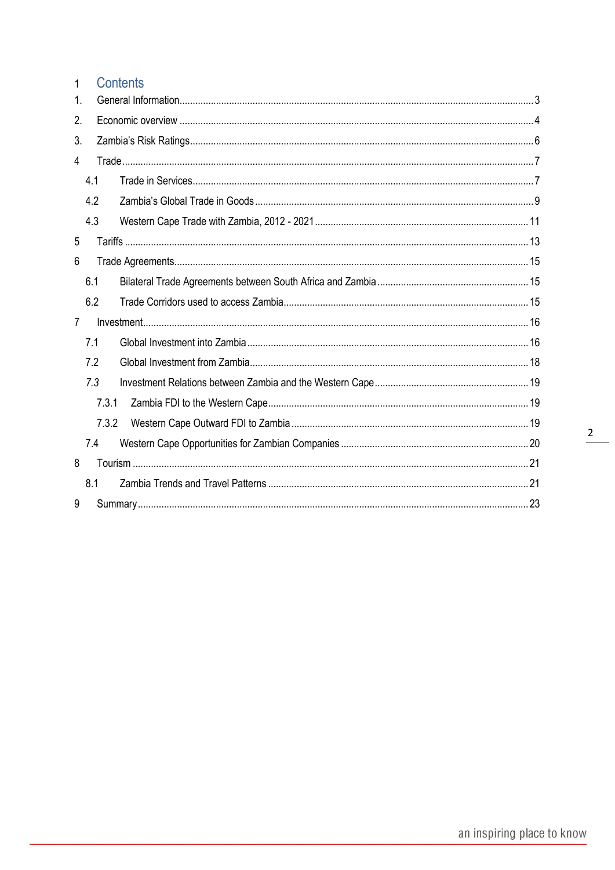#### Contents  $\overline{1}$

| 1. |       |  |
|----|-------|--|
| 2. |       |  |
| 3. |       |  |
| 4  |       |  |
|    | 4.1   |  |
|    | 4.2   |  |
|    | 4.3   |  |
| 5  |       |  |
| 6  |       |  |
|    | 6.1   |  |
|    | 6.2   |  |
| 7  |       |  |
|    | 7.1   |  |
|    | 7.2   |  |
|    | 7.3   |  |
|    | 7.3.1 |  |
|    | 7.3.2 |  |
|    | 7.4   |  |
| 8  |       |  |
|    | 8.1   |  |
| 9  |       |  |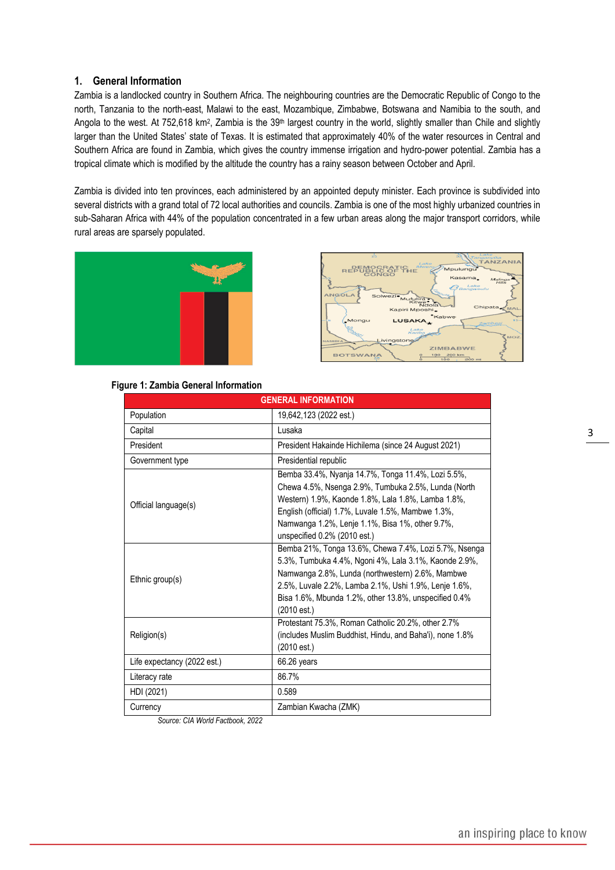#### <span id="page-2-0"></span>**1. General Information**

Zambia is a landlocked country in Southern Africa. The neighbouring countries are the Democratic Republic of Congo to the north, Tanzania to the north-east, Malawi to the east, Mozambique, Zimbabwe, Botswana and Namibia to the south, and Angola to the west. At 752,618 km<sup>2</sup>, Zambia is the 39<sup>th</sup> largest country in the world, slightly smaller than Chile and slightly larger than the United States' state of Texas. It is estimated that approximately 40% of the water resources in Central and Southern Africa are found in Zambia, which gives the country immense irrigation and hydro-power potential. Zambia has a tropical climate which is modified by the altitude the country has a rainy season between October and April.

Zambia is divided into ten provinces, each administered by an appointed deputy minister. Each province is subdivided into several districts with a grand total of 72 local authorities and councils. Zambia is one of the most highly urbanized countries in sub-Saharan Africa with 44% of the population concentrated in a few urban areas along the major transport corridors, while rural areas are sparsely populated.





#### **Figure 1: Zambia General Information**

| <b>GENERAL INFORMATION</b>  |                                                                                                                                                                                                                                                                                                          |  |  |  |  |  |
|-----------------------------|----------------------------------------------------------------------------------------------------------------------------------------------------------------------------------------------------------------------------------------------------------------------------------------------------------|--|--|--|--|--|
| Population                  | 19,642,123 (2022 est.)                                                                                                                                                                                                                                                                                   |  |  |  |  |  |
| Capital                     | Lusaka                                                                                                                                                                                                                                                                                                   |  |  |  |  |  |
| President                   | President Hakainde Hichilema (since 24 August 2021)                                                                                                                                                                                                                                                      |  |  |  |  |  |
| Government type             | Presidential republic                                                                                                                                                                                                                                                                                    |  |  |  |  |  |
| Official language(s)        | Bemba 33.4%, Nyanja 14.7%, Tonga 11.4%, Lozi 5.5%,<br>Chewa 4.5%, Nsenga 2.9%, Tumbuka 2.5%, Lunda (North<br>Western) 1.9%, Kaonde 1.8%, Lala 1.8%, Lamba 1.8%,<br>English (official) 1.7%, Luvale 1.5%, Mambwe 1.3%,<br>Namwanga 1.2%, Lenje 1.1%, Bisa 1%, other 9.7%,<br>unspecified 0.2% (2010 est.) |  |  |  |  |  |
| Ethnic group(s)             | Bemba 21%, Tonga 13.6%, Chewa 7.4%, Lozi 5.7%, Nsenga<br>5.3%, Tumbuka 4.4%, Ngoni 4%, Lala 3.1%, Kaonde 2.9%,<br>Namwanga 2.8%, Lunda (northwestern) 2.6%, Mambwe<br>2.5%, Luvale 2.2%, Lamba 2.1%, Ushi 1.9%, Lenje 1.6%,<br>Bisa 1.6%, Mbunda 1.2%, other 13.8%, unspecified 0.4%<br>(2010 est.)      |  |  |  |  |  |
| Religion(s)                 | Protestant 75.3%, Roman Catholic 20.2%, other 2.7%<br>(includes Muslim Buddhist, Hindu, and Baha'i), none 1.8%<br>(2010 est.)                                                                                                                                                                            |  |  |  |  |  |
| Life expectancy (2022 est.) | 66.26 years                                                                                                                                                                                                                                                                                              |  |  |  |  |  |
| Literacy rate               | 86.7%                                                                                                                                                                                                                                                                                                    |  |  |  |  |  |
| HDI (2021)                  | 0.589                                                                                                                                                                                                                                                                                                    |  |  |  |  |  |
| Currency                    | Zambian Kwacha (ZMK)                                                                                                                                                                                                                                                                                     |  |  |  |  |  |

*Source: CIA World Factbook, 2022*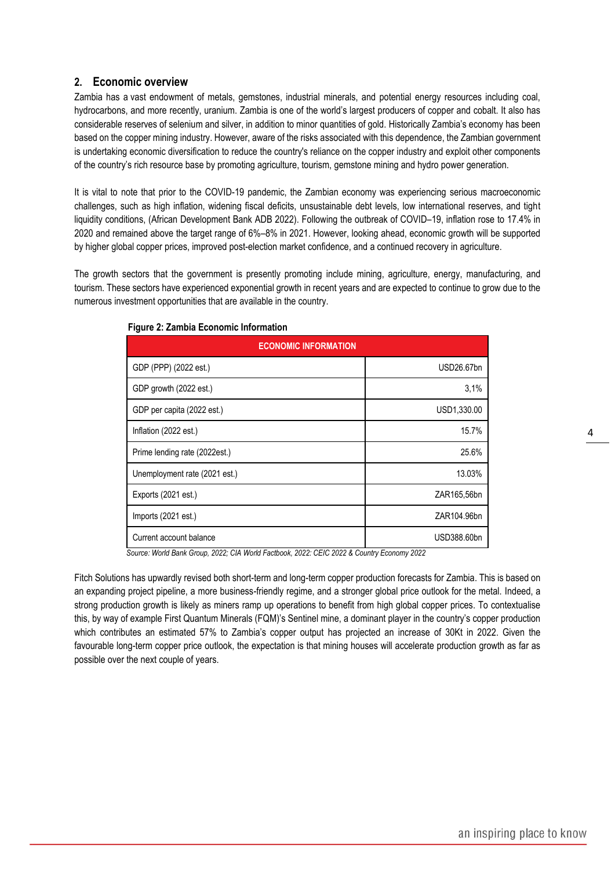#### <span id="page-3-0"></span>**2. Economic overview**

Zambia has a vast endowment of metals, gemstones, industrial minerals, and potential energy resources including coal, hydrocarbons, and more recently, uranium. Zambia is one of the world's largest producers of copper and cobalt. It also has considerable reserves of selenium and silver, in addition to minor quantities of gold. Historically Zambia's economy has been based on the copper mining industry. However, aware of the risks associated with this dependence, the Zambian government is undertaking economic diversification to reduce the country's reliance on the copper industry and exploit other components of the country's rich resource base by promoting agriculture, tourism, gemstone mining and hydro power generation.

It is vital to note that prior to the COVID-19 pandemic, the Zambian economy was experiencing serious macroeconomic challenges, such as high inflation, widening fiscal deficits, unsustainable debt levels, low international reserves, and tight liquidity conditions, (African Development Bank ADB 2022). Following the outbreak of COVID–19, inflation rose to 17.4% in 2020 and remained above the target range of 6%–8% in 2021. However, looking ahead, economic growth will be supported by higher global copper prices, improved post-election market confidence, and a continued recovery in agriculture.

The growth sectors that the government is presently promoting include mining, agriculture, energy, manufacturing, and tourism. These sectors have experienced exponential growth in recent years and are expected to continue to grow due to the numerous investment opportunities that are available in the country.

| <b>ECONOMIC INFORMATION</b>   |             |
|-------------------------------|-------------|
| GDP (PPP) (2022 est.)         | USD26.67bn  |
| GDP growth (2022 est.)        | 3,1%        |
| GDP per capita (2022 est.)    | USD1,330.00 |
| Inflation (2022 est.)         | 15.7%       |
| Prime lending rate (2022est.) | 25.6%       |
| Unemployment rate (2021 est.) | 13.03%      |
| Exports (2021 est.)           | ZAR165,56bn |
| Imports (2021 est.)           | ZAR104.96bn |
| Current account balance       | USD388.60bn |

#### **Figure 2: Zambia Economic Information**

*Source: World Bank Group, 2022; CIA World Factbook, 2022: CEIC 2022 & Country Economy 2022*

Fitch Solutions has upwardly revised both short-term and long-term copper production forecasts for Zambia. This is based on an expanding project pipeline, a more business-friendly regime, and a stronger global price outlook for the metal. Indeed, a strong production growth is likely as miners ramp up operations to benefit from high global copper prices. To contextualise this, by way of example First Quantum Minerals (FQM)'s Sentinel mine, a dominant player in the country's copper production which contributes an estimated 57% to Zambia's copper output has projected an increase of 30Kt in 2022. Given the favourable long-term copper price outlook, the expectation is that mining houses will accelerate production growth as far as possible over the next couple of years.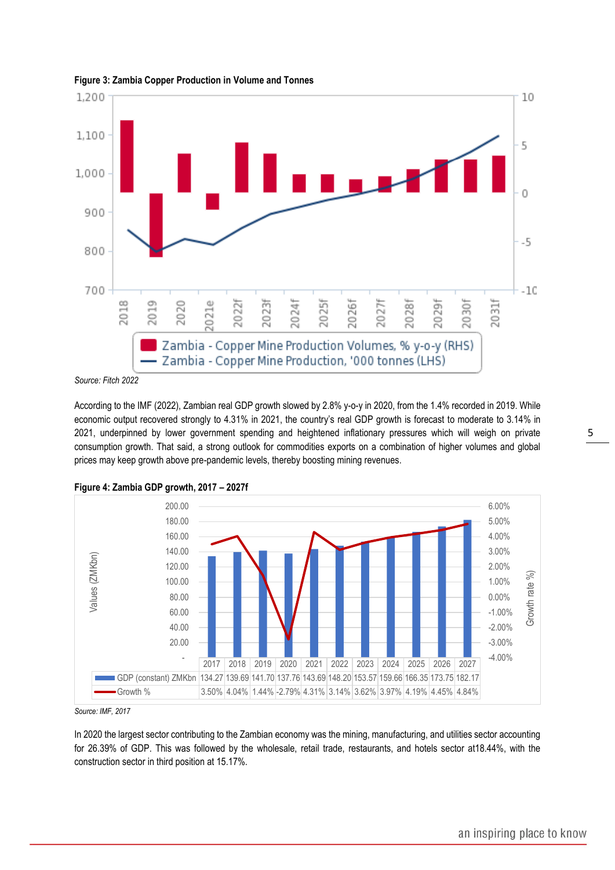

According to the IMF (2022), Zambian real GDP growth slowed by 2.8% y-o-y in 2020, from the 1.4% recorded in 2019. While economic output recovered strongly to 4.31% in 2021, the country's real GDP growth is forecast to moderate to 3.14% in 2021, underpinned by lower government spending and heightened inflationary pressures which will weigh on private consumption growth. That said, a strong outlook for commodities exports on a combination of higher volumes and global prices may keep growth above pre-pandemic levels, thereby boosting mining revenues.



**Figure 4: Zambia GDP growth, 2017 – 2027f**

*Source: IMF, 2017*

In 2020 the largest sector contributing to the Zambian economy was the mining, manufacturing, and utilities sector accounting for 26.39% of GDP. This was followed by the wholesale, retail trade, restaurants, and hotels sector at18.44%, with the construction sector in third position at 15.17%.

**Figure 3: Zambia Copper Production in Volume and Tonnes**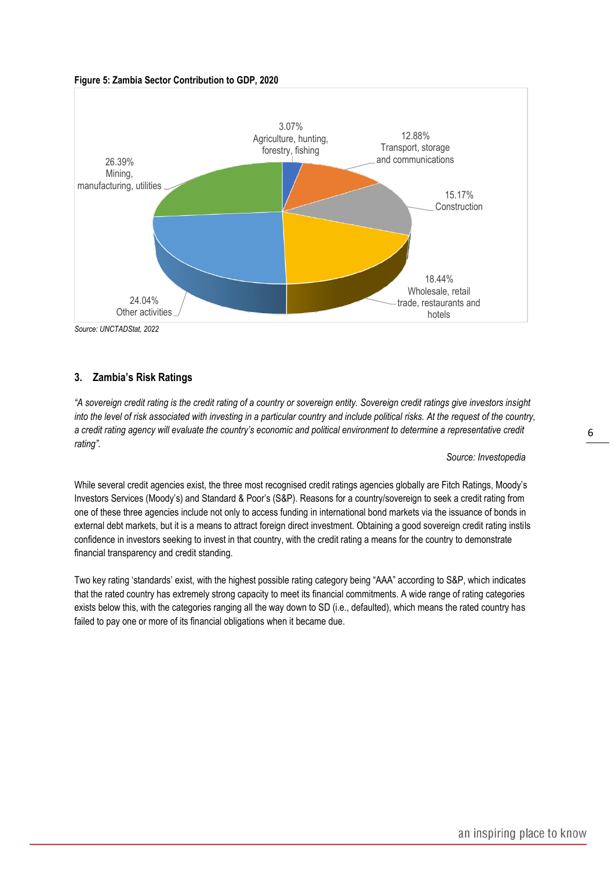



<span id="page-5-0"></span>*Source: UNCTADStat, 2022*

#### **3. Zambia's Risk Ratings**

*"A sovereign credit rating is the credit rating of a country or sovereign entity. Sovereign credit ratings give investors insight into the level of risk associated with investing in a particular country and include political risks. At the request of the country, a credit rating agency will evaluate the country's economic and political environment to determine a representative credit rating".*

*Source: Investopedia*

While several credit agencies exist, the three most recognised credit ratings agencies globally are Fitch Ratings, Moody's Investors Services (Moody's) and Standard & Poor's (S&P). Reasons for a country/sovereign to seek a credit rating from one of these three agencies include not only to access funding in international bond markets via the issuance of bonds in external debt markets, but it is a means to attract foreign direct investment. Obtaining a good sovereign credit rating instils confidence in investors seeking to invest in that country, with the credit rating a means for the country to demonstrate financial transparency and credit standing.

Two key rating 'standards' exist, with the highest possible rating category being "AAA" according to S&P, which indicates that the rated country has extremely strong capacity to meet its financial commitments. A wide range of rating categories exists below this, with the categories ranging all the way down to SD (i.e., defaulted), which means the rated country has failed to pay one or more of its financial obligations when it became due.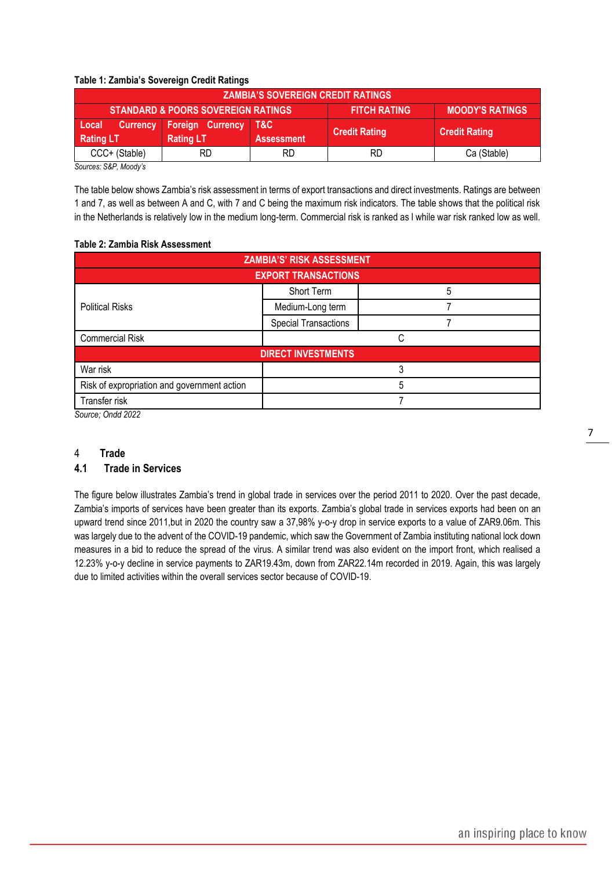#### **Table 1: Zambia's Sovereign Credit Ratings**

| <b>ZAMBIA'S SOVEREIGN CREDIT RATINGS</b>                                                       |                                             |                          |                      |                      |  |  |  |  |
|------------------------------------------------------------------------------------------------|---------------------------------------------|--------------------------|----------------------|----------------------|--|--|--|--|
| <b>STANDARD &amp; POORS SOVEREIGN RATINGS</b><br><b>MOODY'S RATINGS</b><br><b>FITCH RATING</b> |                                             |                          |                      |                      |  |  |  |  |
| Local<br><b>Currency</b><br><b>Rating LT</b>                                                   | <b>Foreign Currency</b><br><b>Rating LT</b> | TAC<br><b>Assessment</b> | <b>Credit Rating</b> | <b>Credit Rating</b> |  |  |  |  |
| CCC+ (Stable)                                                                                  | RD                                          | RD                       | RD                   | Ca (Stable)          |  |  |  |  |

*Sources: S&P, Moody's*

The table below shows Zambia's risk assessment in terms of export transactions and direct investments. Ratings are between 1 and 7, as well as between A and C, with 7 and C being the maximum risk indicators. The table shows that the political risk in the Netherlands is relatively low in the medium long-term. Commercial risk is ranked as l while war risk ranked low as well.

#### **Table 2: Zambia Risk Assessment**

| <b>ZAMBIA'S' RISK ASSESSMENT</b> |   |  |  |  |  |  |  |
|----------------------------------|---|--|--|--|--|--|--|
| <b>EXPORT TRANSACTIONS</b>       |   |  |  |  |  |  |  |
| Short Term                       | 5 |  |  |  |  |  |  |
| Medium-Long term                 |   |  |  |  |  |  |  |
| <b>Special Transactions</b>      |   |  |  |  |  |  |  |
|                                  |   |  |  |  |  |  |  |
| <b>DIRECT INVESTMENTS</b>        |   |  |  |  |  |  |  |
|                                  |   |  |  |  |  |  |  |
|                                  | 5 |  |  |  |  |  |  |
|                                  |   |  |  |  |  |  |  |
|                                  |   |  |  |  |  |  |  |

<span id="page-6-0"></span>*Source; Ondd 2022*

#### 4 **Trade**

#### <span id="page-6-1"></span>**4.1 Trade in Services**

The figure below illustrates Zambia's trend in global trade in services over the period 2011 to 2020. Over the past decade, Zambia's imports of services have been greater than its exports. Zambia's global trade in services exports had been on an upward trend since 2011,but in 2020 the country saw a 37,98% y-o-y drop in service exports to a value of ZAR9.06m. This was largely due to the advent of the COVID-19 pandemic, which saw the Government of Zambia instituting national lock down measures in a bid to reduce the spread of the virus. A similar trend was also evident on the import front, which realised a 12.23% y-o-y decline in service payments to ZAR19.43m, down from ZAR22.14m recorded in 2019. Again, this was largely due to limited activities within the overall services sector because of COVID-19.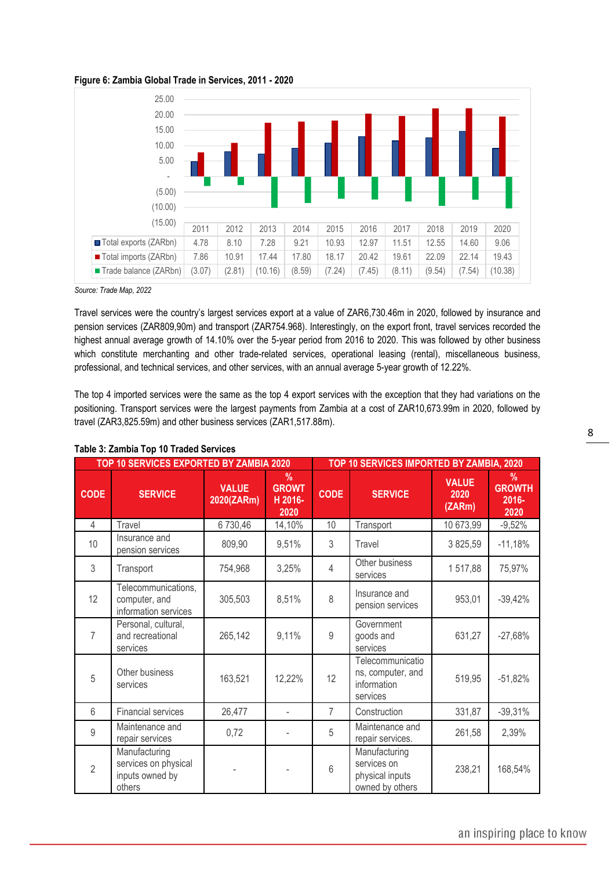

**Figure 6: Zambia Global Trade in Services, 2011 - 2020**

*Source: Trade Map, 2022*

Travel services were the country's largest services export at a value of ZAR6,730.46m in 2020, followed by insurance and pension services (ZAR809,90m) and transport (ZAR754.968). Interestingly, on the export front, travel services recorded the highest annual average growth of 14.10% over the 5-year period from 2016 to 2020. This was followed by other business which constitute merchanting and other trade-related services, operational leasing (rental), miscellaneous business, professional, and technical services, and other services, with an annual average 5-year growth of 12.22%.

The top 4 imported services were the same as the top 4 export services with the exception that they had variations on the positioning. Transport services were the largest payments from Zambia at a cost of ZAR10,673.99m in 2020, followed by travel (ZAR3,825.59m) and other business services (ZAR1,517.88m).

|                | TOP 10 SERVICES EXPORTED BY ZAMBIA 2020                            |                            |                                                  | TOP 10 SERVICES IMPORTED BY ZAMBIA, 2020 |                                                                    |                                |                                     |
|----------------|--------------------------------------------------------------------|----------------------------|--------------------------------------------------|------------------------------------------|--------------------------------------------------------------------|--------------------------------|-------------------------------------|
| <b>CODE</b>    | <b>SERVICE</b>                                                     | <b>VALUE</b><br>2020(ZARm) | $\frac{9}{6}$<br><b>GROWT</b><br>H 2016-<br>2020 | <b>CODE</b>                              | <b>SERVICE</b>                                                     | <b>VALUE</b><br>2020<br>(ZARm) | %<br><b>GROWTH</b><br>2016-<br>2020 |
| $\overline{4}$ | Travel                                                             | 6730,46                    | 14,10%                                           | 10                                       | Transport                                                          | 10 673,99                      | $-9,52%$                            |
| 10             | Insurance and<br>pension services                                  | 809,90                     | 9,51%                                            | 3                                        | Travel                                                             | 3825,59                        | $-11,18%$                           |
| 3              | Transport                                                          | 754,968                    | 3,25%                                            | $\overline{4}$                           | Other business<br>services                                         | 1517,88                        | 75,97%                              |
| 12             | Telecommunications,<br>computer, and<br>information services       | 305,503                    | 8,51%                                            | 8                                        | Insurance and<br>pension services                                  | 953,01                         | $-39,42%$                           |
| $\overline{7}$ | Personal, cultural,<br>and recreational<br>services                | 265,142                    | 9,11%                                            | 9                                        | Government<br>goods and<br>services                                | 631,27                         | $-27,68%$                           |
| 5              | Other business<br>services                                         | 163,521                    | 12,22%                                           | 12                                       | Telecommunicatio<br>ns, computer, and<br>information<br>services   | 519,95                         | $-51,82%$                           |
| 6              | <b>Financial services</b>                                          | 26,477                     |                                                  | $\overline{7}$                           | Construction                                                       | 331,87                         | $-39,31%$                           |
| 9              | Maintenance and<br>repair services                                 | 0,72                       |                                                  | 5                                        | Maintenance and<br>repair services.                                | 261,58                         | 2,39%                               |
| $\overline{2}$ | Manufacturing<br>services on physical<br>inputs owned by<br>others |                            |                                                  | 6                                        | Manufacturing<br>services on<br>physical inputs<br>owned by others | 238,21                         | 168,54%                             |

#### **Table 3: Zambia Top 10 Traded Services**

8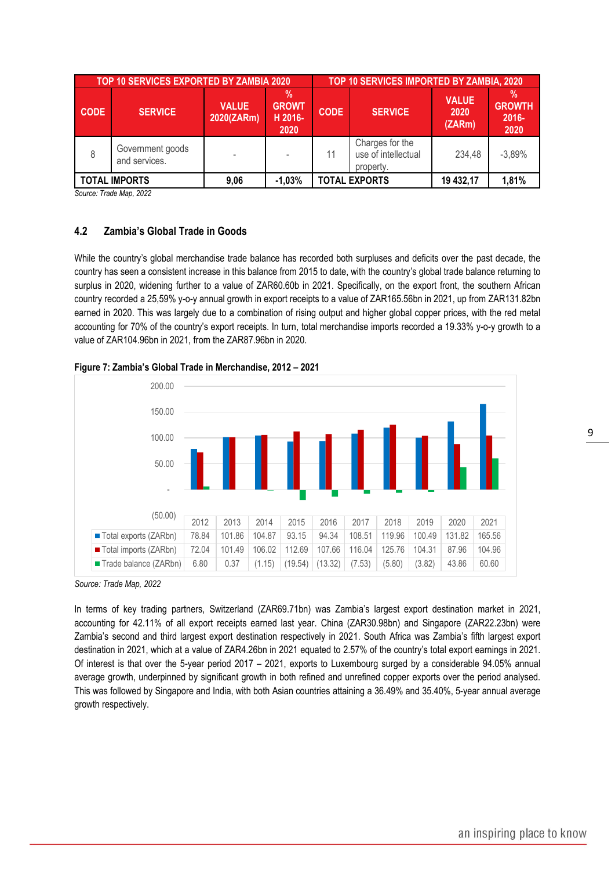| TOP 10 SERVICES EXPORTED BY ZAMBIA 2020 |                                   |                            |                                      |             | TOP 10 SERVICES IMPORTED BY ZAMBIA, 2020            |                                |                                        |  |
|-----------------------------------------|-----------------------------------|----------------------------|--------------------------------------|-------------|-----------------------------------------------------|--------------------------------|----------------------------------------|--|
| <b>CODE</b>                             | <b>SERVICE</b>                    | <b>VALUE</b><br>2020(ZARm) | %<br><b>GROWT</b><br>H 2016-<br>2020 | <b>CODE</b> | <b>SERVICE</b>                                      | <b>VALUE</b><br>2020<br>(ZARm) | %<br><b>GROWTH</b><br>$2016 -$<br>2020 |  |
| 8                                       | Government goods<br>and services. |                            |                                      | 11          | Charges for the<br>use of intellectual<br>property. | 234,48                         | $-3.89%$                               |  |
| <b>TOTAL IMPORTS</b>                    |                                   | 9,06                       | $-1,03%$                             |             | <b>TOTAL EXPORTS</b>                                | 19 432,17                      | 1,81%                                  |  |

*Source: Trade Map, 2022*

#### <span id="page-8-0"></span>**4.2 Zambia's Global Trade in Goods**

While the country's global merchandise trade balance has recorded both surpluses and deficits over the past decade, the country has seen a consistent increase in this balance from 2015 to date, with the country's global trade balance returning to surplus in 2020, widening further to a value of ZAR60.60b in 2021. Specifically, on the export front, the southern African country recorded a 25,59% y-o-y annual growth in export receipts to a value of ZAR165.56bn in 2021, up from ZAR131.82bn earned in 2020. This was largely due to a combination of rising output and higher global copper prices, with the red metal accounting for 70% of the country's export receipts. In turn, total merchandise imports recorded a 19.33% y-o-y growth to a value of ZAR104.96bn in 2021, from the ZAR87.96bn in 2020.





*Source: Trade Map, 2022*

In terms of key trading partners, Switzerland (ZAR69.71bn) was Zambia's largest export destination market in 2021, accounting for 42.11% of all export receipts earned last year. China (ZAR30.98bn) and Singapore (ZAR22.23bn) were Zambia's second and third largest export destination respectively in 2021. South Africa was Zambia's fifth largest export destination in 2021, which at a value of ZAR4.26bn in 2021 equated to 2.57% of the country's total export earnings in 2021. Of interest is that over the 5-year period 2017 – 2021, exports to Luxembourg surged by a considerable 94.05% annual average growth, underpinned by significant growth in both refined and unrefined copper exports over the period analysed. This was followed by Singapore and India, with both Asian countries attaining a 36.49% and 35.40%, 5-year annual average growth respectively.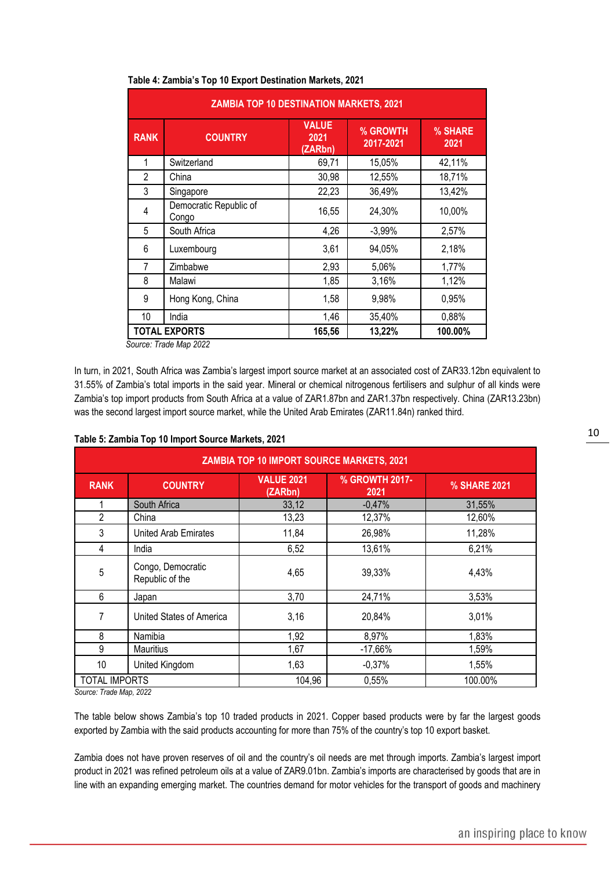| <b>ZAMBIA TOP 10 DESTINATION MARKETS, 2021</b> |                                 |                                 |                       |                 |  |  |  |  |
|------------------------------------------------|---------------------------------|---------------------------------|-----------------------|-----------------|--|--|--|--|
| <b>RANK</b>                                    | <b>COUNTRY</b>                  | <b>VALUE</b><br>2021<br>(ZARbn) | % GROWTH<br>2017-2021 | % SHARE<br>2021 |  |  |  |  |
| 1                                              | Switzerland                     | 69,71                           | 15,05%                | 42,11%          |  |  |  |  |
| 2                                              | China                           | 30,98                           | 12,55%                | 18,71%          |  |  |  |  |
| 3                                              | Singapore                       | 22,23                           | 36,49%                | 13,42%          |  |  |  |  |
| 4                                              | Democratic Republic of<br>Congo | 16,55                           | 24,30%                | 10,00%          |  |  |  |  |
| 5                                              | South Africa                    | 4,26                            | $-3,99%$              | 2,57%           |  |  |  |  |
| 6                                              | Luxembourg                      | 3,61                            | 94,05%                | 2,18%           |  |  |  |  |
| $\overline{7}$                                 | Zimbabwe                        | 2,93                            | 5,06%                 | 1,77%           |  |  |  |  |
| 8                                              | Malawi                          | 1,85                            | 3,16%                 | 1,12%           |  |  |  |  |
| 9                                              | Hong Kong, China                | 1,58                            | 9,98%                 | 0,95%           |  |  |  |  |
| 10                                             | India                           | 1,46                            | 35,40%                | 0,88%           |  |  |  |  |
|                                                | <b>TOTAL EXPORTS</b><br>0.000   | 165,56                          | 13,22%                | 100.00%         |  |  |  |  |

*Source: Trade Map 2022*

In turn, in 2021, South Africa was Zambia's largest import source market at an associated cost of ZAR33.12bn equivalent to 31.55% of Zambia's total imports in the said year. Mineral or chemical nitrogenous fertilisers and sulphur of all kinds were Zambia's top import products from South Africa at a value of ZAR1.87bn and ZAR1.37bn respectively. China (ZAR13.23bn) was the second largest import source market, while the United Arab Emirates (ZAR11.84n) ranked third.

| ZAMBIA TOP 10 IMPORT SOURCE MARKETS, 2021 |                                      |                              |                        |              |  |  |  |  |
|-------------------------------------------|--------------------------------------|------------------------------|------------------------|--------------|--|--|--|--|
| <b>RANK</b>                               | <b>COUNTRY</b>                       | <b>VALUE 2021</b><br>(ZARbn) | % GROWTH 2017-<br>2021 | % SHARE 2021 |  |  |  |  |
|                                           | South Africa                         | 33,12                        | $-0.47%$               | 31,55%       |  |  |  |  |
| $\overline{2}$                            | China                                | 13,23                        | 12,37%                 | 12,60%       |  |  |  |  |
| 3                                         | <b>United Arab Emirates</b>          | 11,84                        | 26,98%                 | 11,28%       |  |  |  |  |
| 4                                         | India                                | 6,52                         | 13,61%                 | 6,21%        |  |  |  |  |
| 5                                         | Congo, Democratic<br>Republic of the | 4,65                         | 39,33%                 | 4,43%        |  |  |  |  |
| 6                                         | Japan                                | 3,70                         | 24,71%                 | 3,53%        |  |  |  |  |
| 7                                         | United States of America             | 3,16                         | 20,84%                 | 3,01%        |  |  |  |  |
| 8                                         | Namibia                              | 1,92                         | 8,97%                  | 1,83%        |  |  |  |  |
| 9                                         | <b>Mauritius</b>                     | 1,67                         | $-17,66%$              | 1,59%        |  |  |  |  |
| 10                                        | United Kingdom                       | 1,63                         | $-0,37%$               | 1,55%        |  |  |  |  |
| <b>TOTAL IMPORTS</b>                      |                                      | 104,96                       | 0,55%                  | 100.00%      |  |  |  |  |

#### **Table 5: Zambia Top 10 Import Source Markets, 2021**

*Source: Trade Map, 2022*

The table below shows Zambia's top 10 traded products in 2021. Copper based products were by far the largest goods exported by Zambia with the said products accounting for more than 75% of the country's top 10 export basket.

Zambia does not have proven reserves of oil and the country's oil needs are met through imports. Zambia's largest import product in 2021 was refined petroleum oils at a value of ZAR9.01bn. Zambia's imports are characterised by goods that are in line with an expanding emerging market. The countries demand for motor vehicles for the transport of goods and machinery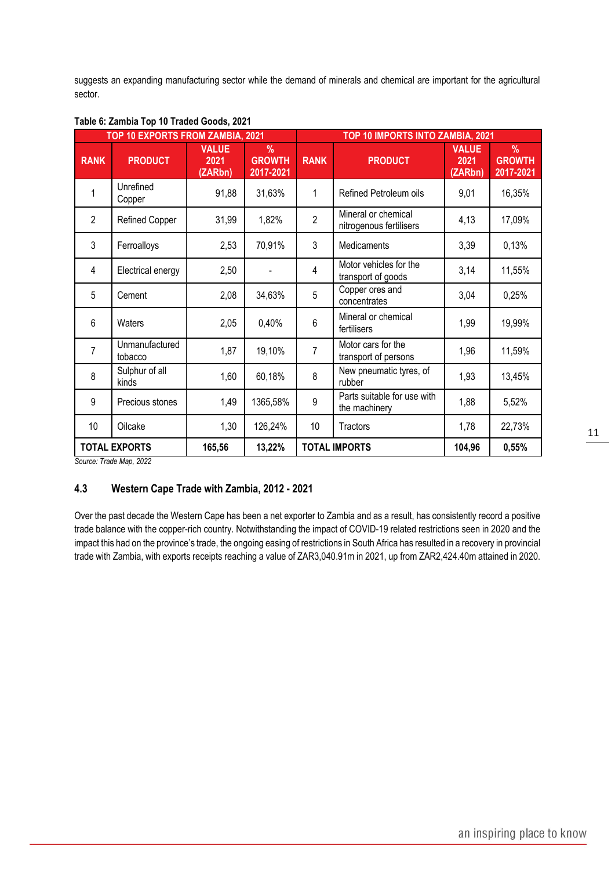suggests an expanding manufacturing sector while the demand of minerals and chemical are important for the agricultural sector.

|                 | TOP 10 EXPORTS FROM ZAMBIA, 2021 |                                 |                                             | TOP 10 IMPORTS INTO ZAMBIA, 2021 |                                                |                                 |                                    |
|-----------------|----------------------------------|---------------------------------|---------------------------------------------|----------------------------------|------------------------------------------------|---------------------------------|------------------------------------|
| <b>RANK</b>     | <b>PRODUCT</b>                   | <b>VALUE</b><br>2021<br>(ZARbn) | $\frac{9}{6}$<br><b>GROWTH</b><br>2017-2021 | <b>RANK</b>                      | <b>PRODUCT</b>                                 | <b>VALUE</b><br>2021<br>(ZARbn) | $\%$<br><b>GROWTH</b><br>2017-2021 |
| 1               | Unrefined<br>Copper              | 91,88                           | 31,63%                                      | 1                                | Refined Petroleum oils                         | 9,01                            | 16,35%                             |
| $\overline{2}$  | <b>Refined Copper</b>            | 31,99                           | 1,82%                                       | $\overline{2}$                   | Mineral or chemical<br>nitrogenous fertilisers | 4,13                            | 17,09%                             |
| 3               | Ferroalloys                      | 2,53                            | 70,91%                                      | 3                                | <b>Medicaments</b>                             | 3,39                            | 0,13%                              |
| 4               | Electrical energy                | 2,50                            |                                             | 4                                | Motor vehicles for the<br>transport of goods   | 3,14                            | 11,55%                             |
| 5               | Cement                           | 2,08                            | 34,63%                                      | 5                                | Copper ores and<br>concentrates                | 3,04                            | 0,25%                              |
| 6               | Waters                           | 2,05                            | 0,40%                                       | 6                                | Mineral or chemical<br>fertilisers             | 1,99                            | 19,99%                             |
| $\overline{7}$  | Unmanufactured<br>tobacco        | 1,87                            | 19,10%                                      | $\overline{7}$                   | Motor cars for the<br>transport of persons     | 1,96                            | 11,59%                             |
| 8               | Sulphur of all<br>kinds          | 1,60                            | 60,18%                                      | 8                                | New pneumatic tyres, of<br>rubber              | 1,93                            | 13,45%                             |
| 9               | Precious stones                  | 1,49                            | 1365,58%                                    | 9                                | Parts suitable for use with<br>the machinery   | 1,88                            | 5,52%                              |
| 10 <sup>°</sup> | Oilcake                          | 1,30                            | 126,24%                                     | 10                               | Tractors                                       | 1,78                            | 22,73%                             |
|                 | <b>TOTAL EXPORTS</b>             | 165,56                          | 13,22%                                      |                                  | <b>TOTAL IMPORTS</b>                           | 104,96                          | 0,55%                              |

#### **Table 6: Zambia Top 10 Traded Goods, 2021**

<span id="page-10-0"></span>*Source: Trade Map, 2022*

#### **4.3 Western Cape Trade with Zambia, 2012 - 2021**

Over the past decade the Western Cape has been a net exporter to Zambia and as a result, has consistently record a positive trade balance with the copper-rich country. Notwithstanding the impact of COVID-19 related restrictions seen in 2020 and the impact this had on the province's trade, the ongoing easing of restrictions in South Africa has resulted in a recovery in provincial trade with Zambia, with exports receipts reaching a value of ZAR3,040.91m in 2021, up from ZAR2,424.40m attained in 2020.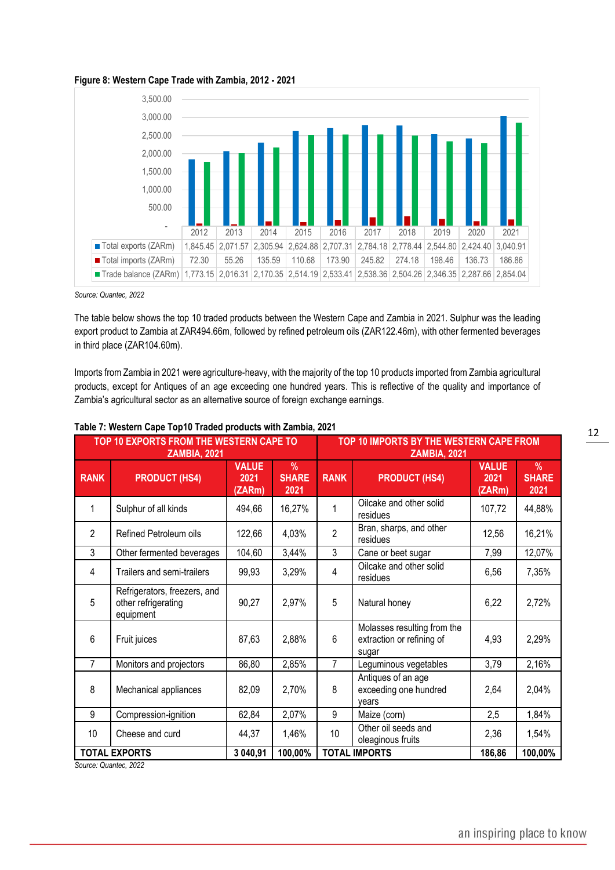

#### **Figure 8: Western Cape Trade with Zambia, 2012 - 2021**

*Source: Quantec, 2022*

The table below shows the top 10 traded products between the Western Cape and Zambia in 2021. Sulphur was the leading export product to Zambia at ZAR494.66m, followed by refined petroleum oils (ZAR122.46m), with other fermented beverages in third place (ZAR104.60m).

Imports from Zambia in 2021 were agriculture-heavy, with the majority of the top 10 products imported from Zambia agricultural products, except for Antiques of an age exceeding one hundred years. This is reflective of the quality and importance of Zambia's agricultural sector as an alternative source of foreign exchange earnings.

|                | TOP 10 EXPORTS FROM THE WESTERN CAPE TO<br><b>ZAMBIA, 2021</b>   |                                |                                       | TOP 10 IMPORTS BY THE WESTERN CAPE FROM<br><b>ZAMBIA, 2021</b> |                                                                   |                                |                              |
|----------------|------------------------------------------------------------------|--------------------------------|---------------------------------------|----------------------------------------------------------------|-------------------------------------------------------------------|--------------------------------|------------------------------|
| <b>RANK</b>    | <b>PRODUCT (HS4)</b>                                             | <b>VALUE</b><br>2021<br>(ZARm) | $\frac{9}{6}$<br><b>SHARE</b><br>2021 | <b>RANK</b>                                                    | <b>PRODUCT (HS4)</b>                                              | <b>VALUE</b><br>2021<br>(ZARm) | $\%$<br><b>SHARE</b><br>2021 |
|                | Sulphur of all kinds                                             | 494,66                         | 16,27%                                | 1                                                              | Oilcake and other solid<br>residues                               | 107,72                         | 44,88%                       |
| $\overline{2}$ | Refined Petroleum oils                                           | 122,66                         | 4,03%                                 | $\overline{2}$                                                 | Bran, sharps, and other<br>residues                               | 12,56                          | 16,21%                       |
| 3              | Other fermented beverages                                        | 104,60                         | 3,44%                                 | 3                                                              | Cane or beet sugar                                                | 7,99                           | 12,07%                       |
| 4              | Trailers and semi-trailers                                       | 99,93                          | 3,29%                                 | 4                                                              | Oilcake and other solid<br>residues                               | 6,56                           | 7,35%                        |
| 5              | Refrigerators, freezers, and<br>other refrigerating<br>equipment | 90,27                          | 2,97%                                 | 5                                                              | Natural honey                                                     | 6,22                           | 2,72%                        |
| 6              | Fruit juices                                                     | 87,63                          | 2,88%                                 | 6                                                              | Molasses resulting from the<br>extraction or refining of<br>sugar | 4,93                           | 2,29%                        |
| $\overline{7}$ | Monitors and projectors                                          | 86,80                          | 2,85%                                 | $\overline{7}$                                                 | Leguminous vegetables                                             | 3,79                           | 2,16%                        |
| 8              | Mechanical appliances                                            | 82,09                          | 2,70%                                 | 8                                                              | Antiques of an age<br>exceeding one hundred<br>vears              | 2,64                           | 2,04%                        |
| 9              | Compression-ignition                                             | 62,84                          | 2,07%                                 | 9                                                              | Maize (corn)                                                      | 2,5                            | 1,84%                        |
| 10             | Cheese and curd                                                  | 44,37                          | 1,46%                                 | 10                                                             | Other oil seeds and<br>oleaginous fruits                          | 2,36                           | 1,54%                        |
|                | <b>TOTAL EXPORTS</b>                                             | 3 040,91                       | 100,00%                               |                                                                | <b>TOTAL IMPORTS</b>                                              | 186,86                         | 100,00%                      |

#### **Table 7: Western Cape Top10 Traded products with Zambia, 2021**

*Source: Quantec, 2022*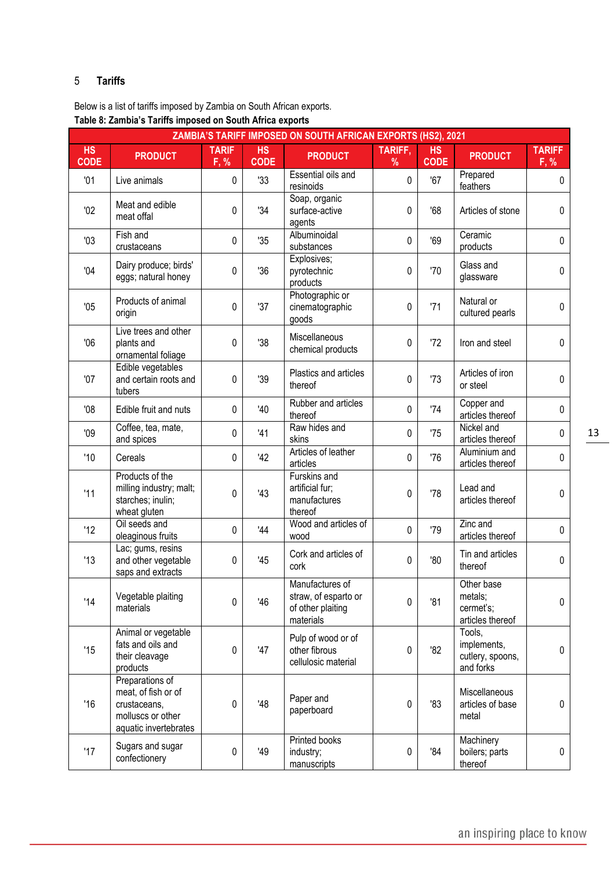#### <span id="page-12-0"></span>5 **Tariffs**

Below is a list of tariffs imposed by Zambia on South African exports. **Table 8: Zambia's Tariffs imposed on South Africa exports**

|                          | ZAMBIA'S TARIFF IMPOSED ON SOUTH AFRICAN EXPORTS (HS2), 2021                                         |                      |                          |                                                                           |                 |                          |                                                        |                       |
|--------------------------|------------------------------------------------------------------------------------------------------|----------------------|--------------------------|---------------------------------------------------------------------------|-----------------|--------------------------|--------------------------------------------------------|-----------------------|
| <b>HS</b><br><b>CODE</b> | <b>PRODUCT</b>                                                                                       | <b>TARIF</b><br>F, % | <b>HS</b><br><b>CODE</b> | <b>PRODUCT</b>                                                            | TARIFF,<br>$\%$ | <b>HS</b><br><b>CODE</b> | <b>PRODUCT</b>                                         | <b>TARIFF</b><br>F, % |
| '01                      | Live animals                                                                                         | 0                    | '33                      | Essential oils and<br>resinoids                                           | $\pmb{0}$       | '67                      | Prepared<br>feathers                                   | $\mathbf 0$           |
| 02                       | Meat and edible<br>meat offal                                                                        | 0                    | 34                       | Soap, organic<br>surface-active<br>agents                                 | 0               | 68                       | Articles of stone                                      | $\pmb{0}$             |
| 03                       | $Fish$ and<br>crustaceans                                                                            | 0                    | '35                      | Albuminoidal<br>substances                                                | 0               | '69                      | Ceramic<br>products                                    | $\pmb{0}$             |
| 04                       | Dairy produce; birds'<br>eggs; natural honey                                                         | 0                    | '36                      | Explosives;<br>pyrotechnic<br>products                                    | 0               | '70                      | Glass and<br>glassware                                 | $\pmb{0}$             |
| 05                       | Products of animal<br>origin                                                                         | 0                    | '37                      | Photographic or<br>cinematographic<br>goods                               | 0               | '71                      | Natural or<br>cultured pearls                          | $\pmb{0}$             |
| 06                       | Live trees and other<br>plants and<br>ornamental foliage                                             | 0                    | '38                      | Miscellaneous<br>chemical products                                        | 0               | 72                       | Iron and steel                                         | $\pmb{0}$             |
| 07                       | Edible vegetables<br>and certain roots and<br>tubers                                                 | 0                    | '39                      | Plastics and articles<br>thereof                                          | 0               | 73                       | Articles of iron<br>or steel                           | $\pmb{0}$             |
| 08                       | Edible fruit and nuts                                                                                | 0                    | '40                      | Rubber and articles<br>thereof                                            | 0               | '74                      | Copper and<br>articles thereof                         | $\pmb{0}$             |
| '09                      | Coffee, tea, mate,<br>and spices                                                                     | 0                    | '41                      | Raw hides and<br>skins                                                    | 0               | '75                      | Nickel and<br>articles thereof                         | $\pmb{0}$             |
| '10                      | Cereals                                                                                              | 0                    | 42                       | Articles of leather<br>articles                                           | 0               | '76                      | Aluminium and<br>articles thereof                      | $\pmb{0}$             |
| 11                       | Products of the<br>milling industry; malt;<br>starches; inulin;<br>wheat gluten                      | 0                    | '43                      | Furskins and<br>artificial fur;<br>manufactures<br>thereof                | 0               | '78                      | Lead and<br>articles thereof                           | $\pmb{0}$             |
| '12                      | Oil seeds and<br>oleaginous fruits                                                                   | 0                    | '44                      | Wood and articles of<br>wood                                              | 0               | '79                      | Zinc and<br>articles thereof                           | $\pmb{0}$             |
| '13                      | Lac; gums, resins<br>and other vegetable<br>saps and extracts                                        | 0                    | '45                      | Cork and articles of<br>cork                                              | 0               | '80                      | Tin and articles<br>thereof                            | $\mathbf 0$           |
| '14                      | Vegetable plaiting<br>materials                                                                      | 0                    | '46                      | Manufactures of<br>straw, of esparto or<br>of other plaiting<br>materials | 0               | '81                      | Other base<br>metals;<br>cermet's;<br>articles thereof | $\pmb{0}$             |
| '15                      | Animal or vegetable<br>fats and oils and<br>their cleavage<br>products                               | $\pmb{0}$            | '47                      | Pulp of wood or of<br>other fibrous<br>cellulosic material                | 0               | '82                      | Tools,<br>implements,<br>cutlery, spoons,<br>and forks | $\pmb{0}$             |
| '16                      | Preparations of<br>meat, of fish or of<br>crustaceans,<br>molluscs or other<br>aquatic invertebrates | 0                    | '48                      | Paper and<br>paperboard                                                   | 0               | '83                      | Miscellaneous<br>articles of base<br>metal             | $\pmb{0}$             |
| '17                      | Sugars and sugar<br>confectionery                                                                    | 0                    | '49                      | Printed books<br>industry;<br>manuscripts                                 | 0               | '84                      | Machinery<br>boilers; parts<br>thereof                 | $\pmb{0}$             |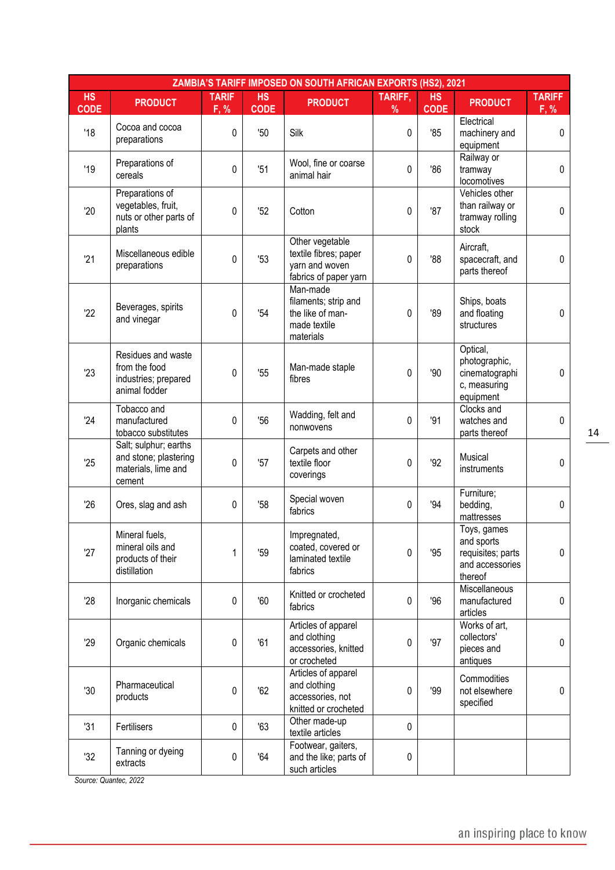| ZAMBIA'S TARIFF IMPOSED ON SOUTH AFRICAN EXPORTS (HS2), 2021 |                                                                                 |                      |                          |                                                                                     |              |                          |                                                                              |                       |
|--------------------------------------------------------------|---------------------------------------------------------------------------------|----------------------|--------------------------|-------------------------------------------------------------------------------------|--------------|--------------------------|------------------------------------------------------------------------------|-----------------------|
| <b>HS</b><br><b>CODE</b>                                     | <b>PRODUCT</b>                                                                  | <b>TARIF</b><br>F, % | <b>HS</b><br><b>CODE</b> | <b>PRODUCT</b>                                                                      | TARIFF,<br>% | <b>HS</b><br><b>CODE</b> | <b>PRODUCT</b>                                                               | <b>TARIFF</b><br>F, % |
| '18                                                          | Cocoa and cocoa<br>preparations                                                 | 0                    | '50                      | Silk                                                                                | 0            | '85                      | Electrical<br>machinery and<br>equipment                                     | 0                     |
| '19                                                          | Preparations of<br>cereals                                                      | $\pmb{0}$            | '51                      | Wool, fine or coarse<br>animal hair                                                 | 0            | '86                      | Railway or<br>tramway<br>locomotives                                         | $\pmb{0}$             |
| 20                                                           | Preparations of<br>vegetables, fruit,<br>nuts or other parts of<br>plants       | $\mathbf 0$          | 52                       | Cotton                                                                              | 0            | '87                      | Vehicles other<br>than railway or<br>tramway rolling<br>stock                | 0                     |
| 21                                                           | Miscellaneous edible<br>preparations                                            | 0                    | 53                       | Other vegetable<br>textile fibres; paper<br>yarn and woven<br>fabrics of paper yarn | 0            | 88                       | Aircraft,<br>spacecraft, and<br>parts thereof                                | $\pmb{0}$             |
| 22                                                           | Beverages, spirits<br>and vinegar                                               | $\mathbf 0$          | '54                      | Man-made<br>filaments; strip and<br>the like of man-<br>made textile<br>materials   | 0            | '89                      | Ships, boats<br>and floating<br>structures                                   | $\pmb{0}$             |
| 23                                                           | Residues and waste<br>from the food<br>industries; prepared<br>animal fodder    | 0                    | '55                      | Man-made staple<br>fibres                                                           | 0            | 90 <sub>°</sub>          | Optical,<br>photographic,<br>cinematographi<br>c, measuring<br>equipment     | $\pmb{0}$             |
| '24                                                          | Tobacco and<br>manufactured<br>tobacco substitutes                              | 0                    | '56                      | Wadding, felt and<br>nonwovens                                                      | 0            | 91                       | Clocks and<br>watches and<br>parts thereof                                   | 0                     |
| 25                                                           | Salt; sulphur; earths<br>and stone; plastering<br>materials, lime and<br>cement | 0                    | '57                      | Carpets and other<br>textile floor<br>coverings                                     | 0            | 92                       | Musical<br>instruments                                                       | $\pmb{0}$             |
| '26                                                          | Ores, slag and ash                                                              | 0                    | '58                      | Special woven<br>fabrics                                                            | 0            | 94                       | Furniture;<br>bedding,<br>mattresses                                         | 0                     |
| '27                                                          | Mineral fuels,<br>mineral oils and<br>products of their<br>distillation         | 1                    | '59                      | Impregnated,<br>coated, covered or<br>laminated textile<br>fabrics                  | 0            | '95                      | Toys, games<br>and sports<br>requisites; parts<br>and accessories<br>thereof | 0                     |
| 28                                                           | Inorganic chemicals                                                             | 0                    | '60                      | Knitted or crocheted<br>fabrics                                                     | 0            | 96                       | Miscellaneous<br>manufactured<br>articles                                    | 0                     |
| 29                                                           | Organic chemicals                                                               | $\pmb{0}$            | '61                      | Articles of apparel<br>and clothing<br>accessories, knitted<br>or crocheted         | 0            | 97                       | Works of art,<br>collectors'<br>pieces and<br>antiques                       | 0                     |
| 30 <sub>2</sub>                                              | Pharmaceutical<br>products                                                      | 0                    | 62                       | Articles of apparel<br>and clothing<br>accessories, not<br>knitted or crocheted     | 0            | 99                       | Commodities<br>not elsewhere<br>specified                                    | $\pmb{0}$             |
| 31                                                           | Fertilisers                                                                     | 0                    | '63                      | Other made-up<br>textile articles                                                   | 0            |                          |                                                                              |                       |
| 32                                                           | Tanning or dyeing<br>extracts                                                   | 0                    | '64                      | Footwear, gaiters,<br>and the like; parts of<br>such articles                       | 0            |                          |                                                                              |                       |

*Source: Quantec, 2022*

14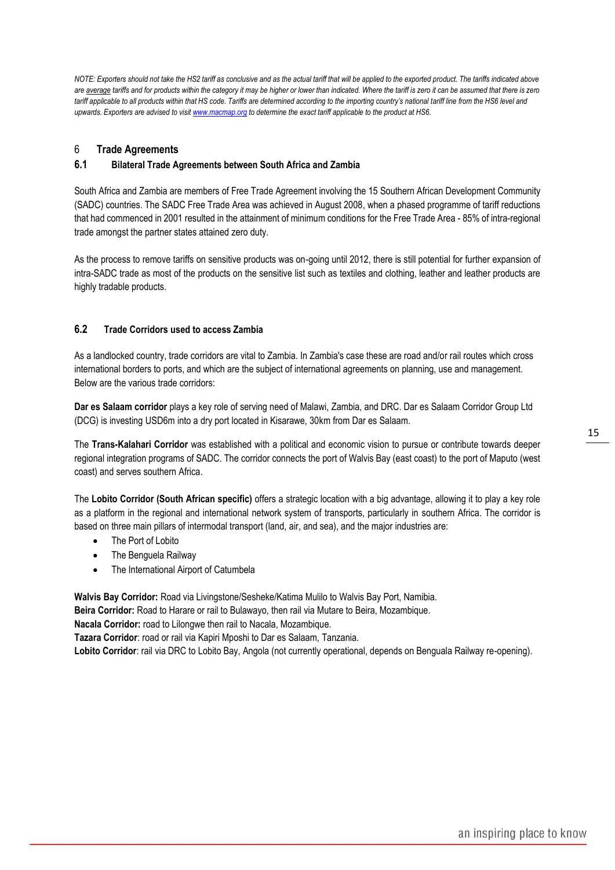*NOTE: Exporters should not take the HS2 tariff as conclusive and as the actual tariff that will be applied to the exported product. The tariffs indicated above are average tariffs and for products within the category it may be higher or lower than indicated. Where the tariff is zero it can be assumed that there is zero*  tariff applicable to all products within that HS code. Tariffs are determined according to the importing country's national tariff line from the HS6 level and *upwards. Exporters are advised to visi[t www.macmap.org](http://www.macmap.org/) to determine the exact tariff applicable to the product at HS6.*

#### <span id="page-14-0"></span>6 **Trade Agreements**

#### <span id="page-14-1"></span>**6.1 Bilateral Trade Agreements between South Africa and Zambia**

South Africa and Zambia are members of Free Trade Agreement involving the 15 Southern African Development Community (SADC) countries. The SADC Free Trade Area was achieved in August 2008, when a phased programme of tariff reductions that had commenced in 2001 resulted in the attainment of minimum conditions for the Free Trade Area - 85% of intra-regional trade amongst the partner states attained zero duty.

As the process to remove tariffs on sensitive products was on-going until 2012, there is still potential for further expansion of intra-SADC trade as most of the products on the sensitive list such as textiles and clothing, leather and leather products are highly tradable products.

#### <span id="page-14-2"></span>**6.2 Trade Corridors used to access Zambia**

As a landlocked country, trade corridors are vital to Zambia. In Zambia's case these are road and/or rail routes which cross international borders to ports, and which are the subject of international agreements on planning, use and management. Below are the various trade corridors:

**Dar es Salaam corridor** plays a key role of serving need of Malawi, Zambia, and DRC. Dar es Salaam Corridor Group Ltd (DCG) is investing USD6m into a dry port located in Kisarawe, 30km from Dar es Salaam.

The **Trans-Kalahari Corridor** was established with a political and economic vision to pursue or contribute towards deeper regional integration programs of SADC. The corridor connects the port of Walvis Bay (east coast) to the port of Maputo (west coast) and serves southern Africa.

The **Lobito Corridor (South African specific)** offers a strategic location with a big advantage, allowing it to play a key role as a platform in the regional and international network system of transports, particularly in southern Africa. The corridor is based on three main pillars of intermodal transport (land, air, and sea), and the major industries are:

- The Port of Lobito
- The Benguela Railway
- The International Airport of Catumbela

**Walvis Bay Corridor:** Road via Livingstone/Sesheke/Katima Mulilo to Walvis Bay Port, Namibia.

**Beira Corridor:** Road to Harare or rail to Bulawayo, then rail via Mutare to Beira, Mozambique.

**Nacala Corridor:** road to Lilongwe then rail t[o Nacala,](http://en.wikipedia.org/wiki/Nacala) Mozambique.

**Tazara Corridor**: road or rail via Kapiri Mposhi to Dar es Salaam, Tanzania.

**Lobito Corridor**: rail via DRC to Lobito Bay, Angola (not currently operational, depends on Benguala Railway re-opening).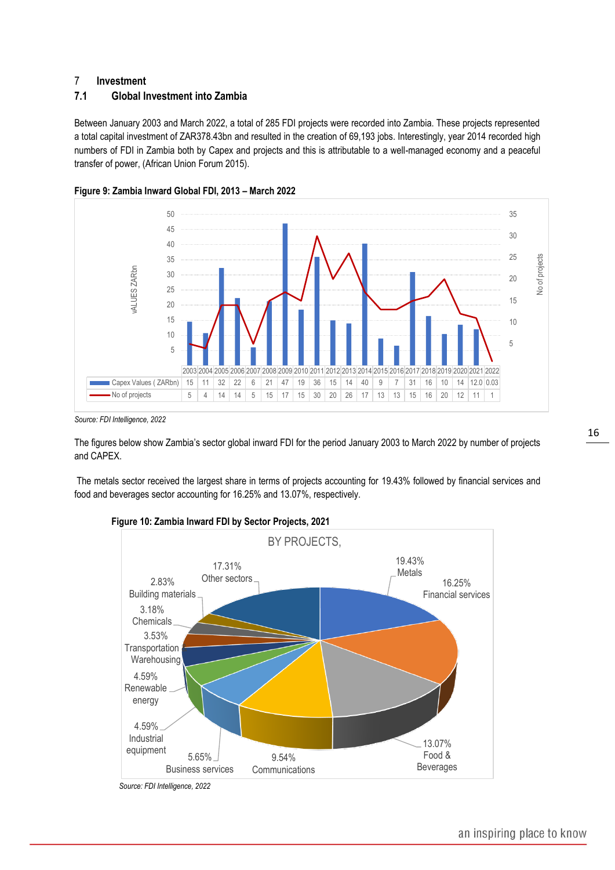#### <span id="page-15-0"></span>7 **Investment**

#### <span id="page-15-1"></span>**7.1 Global Investment into Zambia**

Between January 2003 and March 2022, a total of 285 FDI projects were recorded into Zambia. These projects represented a total capital investment of ZAR378.43bn and resulted in the creation of 69,193 jobs. Interestingly, year 2014 recorded high numbers of FDI in Zambia both by Capex and projects and this is attributable to a well-managed economy and a peaceful transfer of power, (African Union Forum 2015).



**Figure 9: Zambia Inward Global FDI, 2013 – March 2022**

*Source: FDI Intelligence, 2022*

The figures below show Zambia's sector global inward FDI for the period January 2003 to March 2022 by number of projects and CAPEX.

The metals sector received the largest share in terms of projects accounting for 19.43% followed by financial services and food and beverages sector accounting for 16.25% and 13.07%, respectively.



#### **Figure 10: Zambia Inward FDI by Sector Projects, 2021**

*Source: FDI Intelligence, 2022*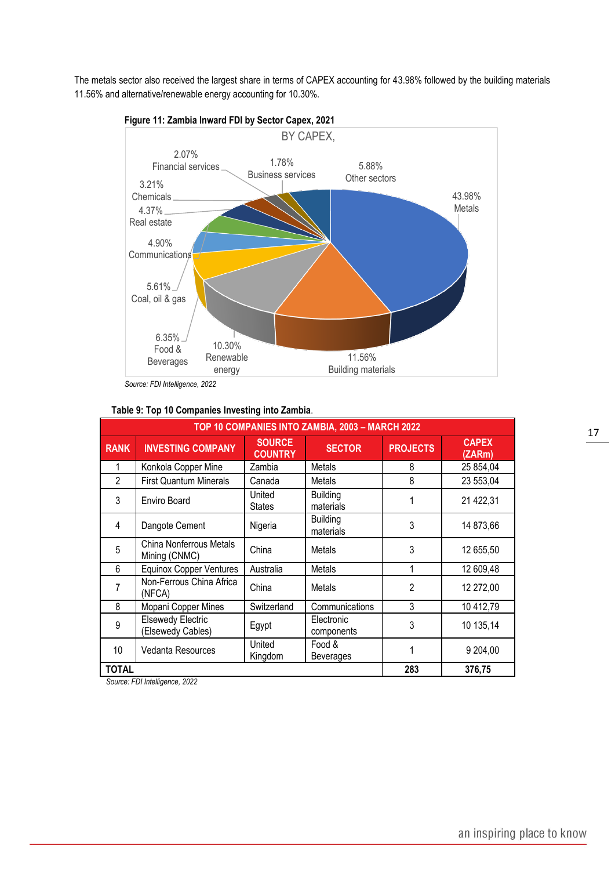The metals sector also received the largest share in terms of CAPEX accounting for 43.98% followed by the building materials 11.56% and alternative/renewable energy accounting for 10.30%.



 *Source: FDI Intelligence, 2022*

| Table 9: Top 10 Companies Investing into Zambia. |  |  |  |  |
|--------------------------------------------------|--|--|--|--|
|--------------------------------------------------|--|--|--|--|

| TOP 10 COMPANIES INTO ZAMBIA, 2003 - MARCH 2022 |                                               |                                 |                              |                 |                        |  |
|-------------------------------------------------|-----------------------------------------------|---------------------------------|------------------------------|-----------------|------------------------|--|
| <b>RANK</b>                                     | <b>INVESTING COMPANY</b>                      | <b>SOURCE</b><br><b>COUNTRY</b> | <b>SECTOR</b>                | <b>PROJECTS</b> | <b>CAPEX</b><br>(ZARm) |  |
|                                                 | Konkola Copper Mine                           | Zambia                          | Metals                       | 8               | 25 854,04              |  |
| $\mathfrak{p}$                                  | <b>First Quantum Minerals</b>                 | Canada                          | Metals                       | 8               | 23 553,04              |  |
| 3                                               | Enviro Board                                  | United<br><b>States</b>         | <b>Building</b><br>materials | 1               | 21 422,31              |  |
| 4                                               | Dangote Cement                                | Nigeria                         | <b>Building</b><br>materials | 3               | 14 873,66              |  |
| 5                                               | China Nonferrous Metals<br>Mining (CNMC)      | China                           | Metals                       | 3               | 12 655,50              |  |
| 6                                               | <b>Equinox Copper Ventures</b>                | Australia                       | Metals                       |                 | 12 609,48              |  |
| 7                                               | Non-Ferrous China Africa<br>(NFCA)            | China                           | Metals                       | 2               | 12 272,00              |  |
| 8                                               | Mopani Copper Mines                           | Switzerland                     | Communications               | 3               | 10 412,79              |  |
| 9                                               | <b>Elsewedy Electric</b><br>(Elsewedy Cables) | Egypt                           | Electronic<br>components     | 3               | 10 135,14              |  |
| 10                                              | Vedanta Resources                             | United<br>Kingdom               | Food &<br><b>Beverages</b>   | 1               | 9 204,00               |  |
| <b>TOTAL</b>                                    |                                               |                                 |                              | 283             | 376,75                 |  |

*Source: FDI Intelligence, 2022*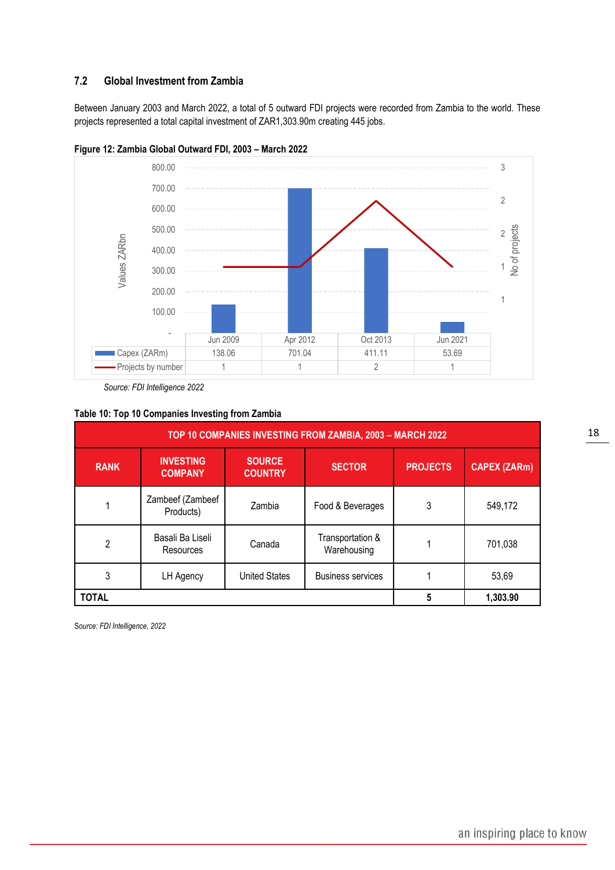#### <span id="page-17-0"></span>**7.2 Global Investment from Zambia**

Between January 2003 and March 2022, a total of 5 outward FDI projects were recorded from Zambia to the world. These projects represented a total capital investment of ZAR1,303.90m creating 445 jobs.



**Figure 12: Zambia Global Outward FDI, 2003 – March 2022**

*Source: FDI Intelligence 2022*

**Table 10: Top 10 Companies Investing from Zambia**

| TOP 10 COMPANIES INVESTING FROM ZAMBIA, 2003 - MARCH 2022 |                                    |                                 |                                 |                 |                     |  |
|-----------------------------------------------------------|------------------------------------|---------------------------------|---------------------------------|-----------------|---------------------|--|
| <b>RANK</b>                                               | <b>INVESTING</b><br><b>COMPANY</b> | <b>SOURCE</b><br><b>COUNTRY</b> | <b>SECTOR</b>                   | <b>PROJECTS</b> | <b>CAPEX (ZARm)</b> |  |
|                                                           | Zambeef (Zambeef<br>Products)      | Zambia                          | Food & Beverages                | 3               | 549,172             |  |
| $\mathfrak{p}$                                            | Basali Ba Liseli<br>Resources      | Canada                          | Transportation &<br>Warehousing |                 | 701,038             |  |
| 3                                                         | LH Agency                          | <b>United States</b>            | <b>Business services</b>        |                 | 53,69               |  |
| <b>TOTAL</b>                                              |                                    |                                 |                                 |                 | 1,303.90            |  |

S*ource: FDI Intelligence, 2022*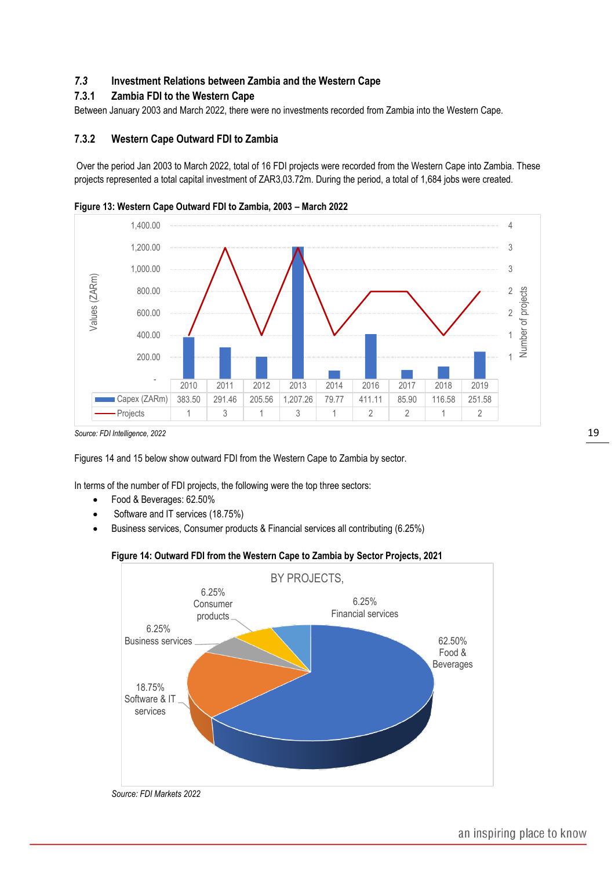#### <span id="page-18-0"></span>*7.3* **Investment Relations between Zambia and the Western Cape**

#### <span id="page-18-1"></span>**7.3.1 Zambia FDI to the Western Cape**

Between January 2003 and March 2022, there were no investments recorded from Zambia into the Western Cape.

#### <span id="page-18-2"></span>**7.3.2 Western Cape Outward FDI to Zambia**

Over the period Jan 2003 to March 2022, total of 16 FDI projects were recorded from the Western Cape into Zambia. These projects represented a total capital investment of ZAR3,03.72m. During the period, a total of 1,684 jobs were created.



**Figure 13: Western Cape Outward FDI to Zambia, 2003 – March 2022**

*Source: FDI Intelligence, 2022*

Figures 14 and 15 below show outward FDI from the Western Cape to Zambia by sector.

In terms of the number of FDI projects, the following were the top three sectors:

- Food & Beverages: 62.50%
- Software and IT services (18.75%)
- Business services, Consumer products & Financial services all contributing (6.25%)

#### **Figure 14: Outward FDI from the Western Cape to Zambia by Sector Projects, 2021**



*Source: FDI Markets 2022*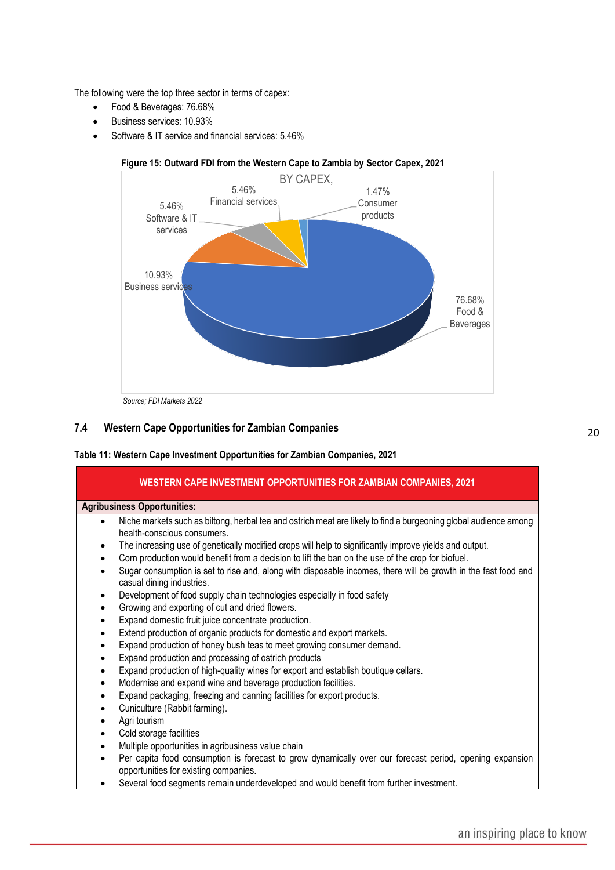The following were the top three sector in terms of capex:

- Food & Beverages: 76.68%
- Business services: 10.93%
- Software & IT service and financial services: 5.46%



 *Source; FDI Markets 2022*

#### <span id="page-19-0"></span>**7.4 Western Cape Opportunities for Zambian Companies**

#### **Table 11: Western Cape Investment Opportunities for Zambian Companies, 2021**

| <b>WESTERN CAPE INVESTMENT OPPORTUNITIES FOR ZAMBIAN COMPANIES, 2021</b>                                                                                                                                                      |
|-------------------------------------------------------------------------------------------------------------------------------------------------------------------------------------------------------------------------------|
| <b>Agribusiness Opportunities:</b>                                                                                                                                                                                            |
| Niche markets such as biltong, herbal tea and ostrich meat are likely to find a burgeoning global audience among<br>$\bullet$<br>health-conscious consumers.                                                                  |
| The increasing use of genetically modified crops will help to significantly improve yields and output.<br>٠<br>Corn production would benefit from a decision to lift the ban on the use of the crop for biofuel.<br>$\bullet$ |
| Sugar consumption is set to rise and, along with disposable incomes, there will be growth in the fast food and<br>casual dining industries.                                                                                   |
| Development of food supply chain technologies especially in food safety                                                                                                                                                       |
| Growing and exporting of cut and dried flowers.<br>$\bullet$                                                                                                                                                                  |
| Expand domestic fruit juice concentrate production.                                                                                                                                                                           |
| Extend production of organic products for domestic and export markets.<br>$\bullet$                                                                                                                                           |
| Expand production of honey bush teas to meet growing consumer demand.<br>$\bullet$                                                                                                                                            |
| Expand production and processing of ostrich products<br>$\bullet$                                                                                                                                                             |
| Expand production of high-quality wines for export and establish boutique cellars.<br>$\bullet$                                                                                                                               |
| Modernise and expand wine and beverage production facilities.<br>$\bullet$                                                                                                                                                    |
| Expand packaging, freezing and canning facilities for export products.                                                                                                                                                        |
| Cuniculture (Rabbit farming).                                                                                                                                                                                                 |
| Agri tourism                                                                                                                                                                                                                  |
| Cold storage facilities                                                                                                                                                                                                       |
|                                                                                                                                                                                                                               |

- Multiple opportunities in agribusiness value chain
- Per capita food consumption is forecast to grow dynamically over our forecast period, opening expansion opportunities for existing companies.
- Several food segments remain underdeveloped and would benefit from further investment.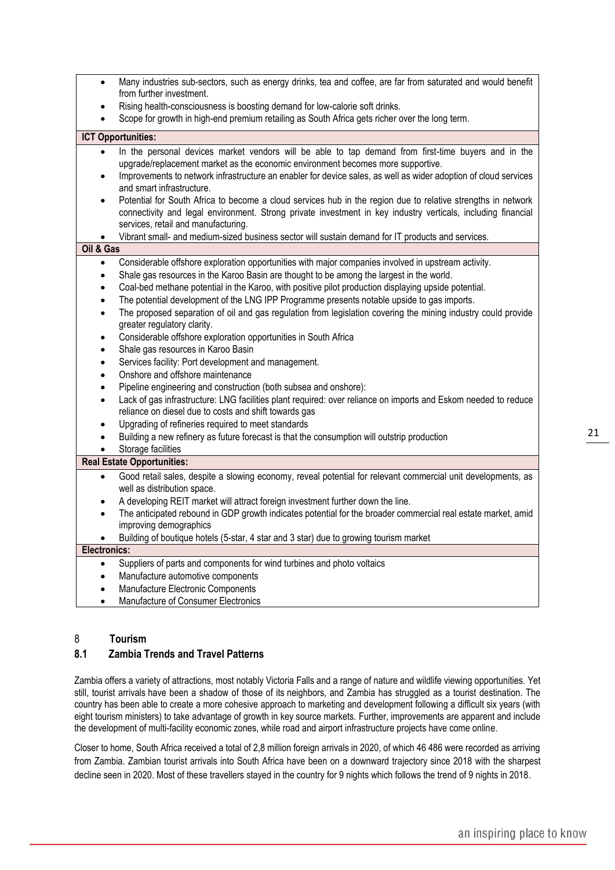| Many industries sub-sectors, such as energy drinks, tea and coffee, are far from saturated and would benefit<br>$\bullet$<br>from further investment.<br>Rising health-consciousness is boosting demand for low-calorie soft drinks.<br>Scope for growth in high-end premium retailing as South Africa gets richer over the long term.                                                                                                                                                                                                                                                                                                                                                                                                                                                                                                                                                                                                                                                                                                                                                                                                                                                                                                                                                                                                                       |
|--------------------------------------------------------------------------------------------------------------------------------------------------------------------------------------------------------------------------------------------------------------------------------------------------------------------------------------------------------------------------------------------------------------------------------------------------------------------------------------------------------------------------------------------------------------------------------------------------------------------------------------------------------------------------------------------------------------------------------------------------------------------------------------------------------------------------------------------------------------------------------------------------------------------------------------------------------------------------------------------------------------------------------------------------------------------------------------------------------------------------------------------------------------------------------------------------------------------------------------------------------------------------------------------------------------------------------------------------------------|
| <b>ICT Opportunities:</b>                                                                                                                                                                                                                                                                                                                                                                                                                                                                                                                                                                                                                                                                                                                                                                                                                                                                                                                                                                                                                                                                                                                                                                                                                                                                                                                                    |
| In the personal devices market vendors will be able to tap demand from first-time buyers and in the<br>$\bullet$<br>upgrade/replacement market as the economic environment becomes more supportive.<br>Improvements to network infrastructure an enabler for device sales, as well as wider adoption of cloud services<br>$\bullet$<br>and smart infrastructure.<br>Potential for South Africa to become a cloud services hub in the region due to relative strengths in network<br>connectivity and legal environment. Strong private investment in key industry verticals, including financial<br>services, retail and manufacturing.<br>Vibrant small- and medium-sized business sector will sustain demand for IT products and services.                                                                                                                                                                                                                                                                                                                                                                                                                                                                                                                                                                                                                 |
| Oil & Gas                                                                                                                                                                                                                                                                                                                                                                                                                                                                                                                                                                                                                                                                                                                                                                                                                                                                                                                                                                                                                                                                                                                                                                                                                                                                                                                                                    |
| Considerable offshore exploration opportunities with major companies involved in upstream activity.<br>$\bullet$<br>Shale gas resources in the Karoo Basin are thought to be among the largest in the world.<br>$\bullet$<br>Coal-bed methane potential in the Karoo, with positive pilot production displaying upside potential.<br>$\bullet$<br>The potential development of the LNG IPP Programme presents notable upside to gas imports.<br>$\bullet$<br>The proposed separation of oil and gas regulation from legislation covering the mining industry could provide<br>$\bullet$<br>greater regulatory clarity.<br>Considerable offshore exploration opportunities in South Africa<br>$\bullet$<br>Shale gas resources in Karoo Basin<br>$\bullet$<br>Services facility: Port development and management.<br>$\bullet$<br>Onshore and offshore maintenance<br>$\bullet$<br>Pipeline engineering and construction (both subsea and onshore):<br>$\bullet$<br>Lack of gas infrastructure: LNG facilities plant required: over reliance on imports and Eskom needed to reduce<br>$\bullet$<br>reliance on diesel due to costs and shift towards gas<br>Upgrading of refineries required to meet standards<br>$\bullet$<br>Building a new refinery as future forecast is that the consumption will outstrip production<br>$\bullet$<br>Storage facilities |
| <b>Real Estate Opportunities:</b>                                                                                                                                                                                                                                                                                                                                                                                                                                                                                                                                                                                                                                                                                                                                                                                                                                                                                                                                                                                                                                                                                                                                                                                                                                                                                                                            |
| Good retail sales, despite a slowing economy, reveal potential for relevant commercial unit developments, as<br>$\bullet$<br>well as distribution space.<br>A developing REIT market will attract foreign investment further down the line.<br>The anticipated rebound in GDP growth indicates potential for the broader commercial real estate market, amid<br>$\bullet$<br>improving demographics<br>Building of boutique hotels (5-star, 4 star and 3 star) due to growing tourism market<br>$\bullet$<br>Electronics:                                                                                                                                                                                                                                                                                                                                                                                                                                                                                                                                                                                                                                                                                                                                                                                                                                    |
| Suppliers of parts and components for wind turbines and photo voltaics<br>$\bullet$                                                                                                                                                                                                                                                                                                                                                                                                                                                                                                                                                                                                                                                                                                                                                                                                                                                                                                                                                                                                                                                                                                                                                                                                                                                                          |
| Manufacture automotive components<br>Manufacture Electronic Components<br>Manufacture of Consumer Electronics<br>$\bullet$                                                                                                                                                                                                                                                                                                                                                                                                                                                                                                                                                                                                                                                                                                                                                                                                                                                                                                                                                                                                                                                                                                                                                                                                                                   |

### <span id="page-20-0"></span>8 **Tourism**

#### <span id="page-20-1"></span>**8.1 Zambia Trends and Travel Patterns**

Zambia offers a variety of attractions, most notably Victoria Falls and a range of nature and wildlife viewing opportunities. Yet still, tourist arrivals have been a shadow of those of its neighbors, and Zambia has struggled as a tourist destination. The country has been able to create a more cohesive approach to marketing and development following a difficult six years (with eight tourism ministers) to take advantage of growth in key source markets. Further, improvements are apparent and include the development of multi-facility economic zones, while road and airport infrastructure projects have come online.

Closer to home, South Africa received a total of 2,8 million foreign arrivals in 2020, of which 46 486 were recorded as arriving from Zambia. Zambian tourist arrivals into South Africa have been on a downward trajectory since 2018 with the sharpest decline seen in 2020. Most of these travellers stayed in the country for 9 nights which follows the trend of 9 nights in 2018.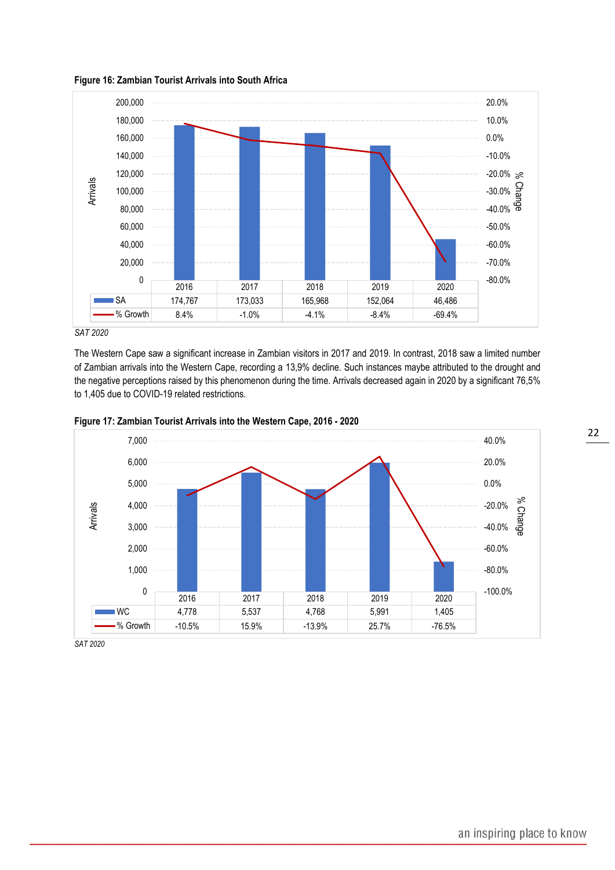**Figure 16: Zambian Tourist Arrivals into South Africa**



*SAT 2020*

The Western Cape saw a significant increase in Zambian visitors in 2017 and 2019. In contrast, 2018 saw a limited number of Zambian arrivals into the Western Cape, recording a 13,9% decline. Such instances maybe attributed to the drought and the negative perceptions raised by this phenomenon during the time. Arrivals decreased again in 2020 by a significant 76,5% to 1,405 due to COVID-19 related restrictions.



**Figure 17: Zambian Tourist Arrivals into the Western Cape, 2016 - 2020**

*SAT 2020*